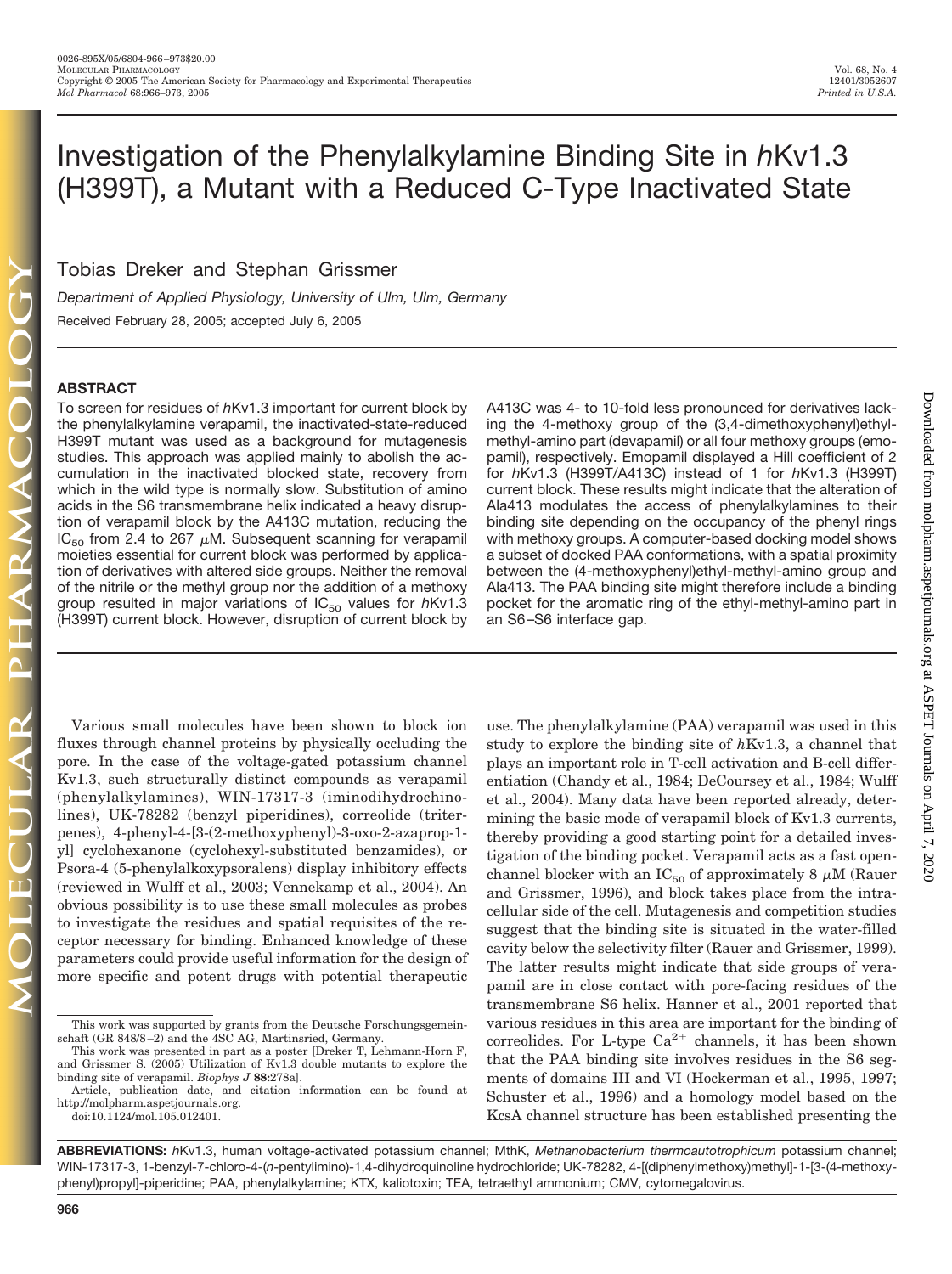# Investigation of the Phenylalkylamine Binding Site in *h*Kv1.3 (H399T), a Mutant with a Reduced C-Type Inactivated State

Tobias Dreker and Stephan Grissmer

*Department of Applied Physiology, University of Ulm, Ulm, Germany* Received February 28, 2005; accepted July 6, 2005

## **ABSTRACT**

To screen for residues of *h*Kv1.3 important for current block by the phenylalkylamine verapamil, the inactivated-state-reduced H399T mutant was used as a background for mutagenesis studies. This approach was applied mainly to abolish the accumulation in the inactivated blocked state, recovery from which in the wild type is normally slow. Substitution of amino acids in the S6 transmembrane helix indicated a heavy disruption of verapamil block by the A413C mutation, reducing the  $IC_{50}$  from 2.4 to 267  $\mu$ M. Subsequent scanning for verapamil moieties essential for current block was performed by application of derivatives with altered side groups. Neither the removal of the nitrile or the methyl group nor the addition of a methoxy group resulted in major variations of IC<sub>50</sub> values for hKv1.3 (H399T) current block. However, disruption of current block by

Various small molecules have been shown to block ion fluxes through channel proteins by physically occluding the pore. In the case of the voltage-gated potassium channel Kv1.3, such structurally distinct compounds as verapamil (phenylalkylamines), WIN-17317-3 (iminodihydrochinolines), UK-78282 (benzyl piperidines), correolide (triterpenes), 4-phenyl-4-[3-(2-methoxyphenyl)-3-oxo-2-azaprop-1 yl] cyclohexanone (cyclohexyl-substituted benzamides), or Psora-4 (5-phenylalkoxypsoralens) display inhibitory effects (reviewed in Wulff et al., 2003; Vennekamp et al., 2004). An obvious possibility is to use these small molecules as probes to investigate the residues and spatial requisites of the receptor necessary for binding. Enhanced knowledge of these parameters could provide useful information for the design of more specific and potent drugs with potential therapeutic A413C was 4- to 10-fold less pronounced for derivatives lacking the 4-methoxy group of the (3,4-dimethoxyphenyl)ethylmethyl-amino part (devapamil) or all four methoxy groups (emopamil), respectively. Emopamil displayed a Hill coefficient of 2 for *h*Kv1.3 (H399T/A413C) instead of 1 for *h*Kv1.3 (H399T) current block. These results might indicate that the alteration of Ala413 modulates the access of phenylalkylamines to their binding site depending on the occupancy of the phenyl rings with methoxy groups. A computer-based docking model shows a subset of docked PAA conformations, with a spatial proximity between the (4-methoxyphenyl)ethyl-methyl-amino group and Ala413. The PAA binding site might therefore include a binding pocket for the aromatic ring of the ethyl-methyl-amino part in an S6 –S6 interface gap.

use. The phenylalkylamine (PAA) verapamil was used in this study to explore the binding site of *h*Kv1.3, a channel that plays an important role in T-cell activation and B-cell differentiation (Chandy et al., 1984; DeCoursey et al., 1984; Wulff et al., 2004). Many data have been reported already, determining the basic mode of verapamil block of Kv1.3 currents, thereby providing a good starting point for a detailed investigation of the binding pocket. Verapamil acts as a fast openchannel blocker with an  $IC_{50}$  of approximately 8  $\mu$ M (Rauer and Grissmer, 1996), and block takes place from the intracellular side of the cell. Mutagenesis and competition studies suggest that the binding site is situated in the water-filled cavity below the selectivity filter (Rauer and Grissmer, 1999). The latter results might indicate that side groups of verapamil are in close contact with pore-facing residues of the transmembrane S6 helix. Hanner et al., 2001 reported that various residues in this area are important for the binding of correolides. For L-type  $Ca^{2+}$  channels, it has been shown that the PAA binding site involves residues in the S6 segments of domains III and VI (Hockerman et al., 1995, 1997; Schuster et al., 1996) and a homology model based on the KcsA channel structure has been established presenting the

**ABBREVIATIONS:** *h*Kv1.3, human voltage-activated potassium channel; MthK, *Methanobacterium thermoautotrophicum* potassium channel; WIN-17317-3, 1-benzyl-7-chloro-4-(*n*-pentylimino)-1,4-dihydroquinoline hydrochloride; UK-78282, 4-[(diphenylmethoxy)methyl]-1-[3-(4-methoxyphenyl)propyl]-piperidine; PAA, phenylalkylamine; KTX, kaliotoxin; TEA, tetraethyl ammonium; CMV, cytomegalovirus.

This work was supported by grants from the Deutsche Forschungsgemeinschaft (GR 848/8-2) and the 4SC AG, Martinsried, Germany.

This work was presented in part as a poster [Dreker T, Lehmann-Horn F, and Grissmer S. (2005) Utilization of Kv1.3 double mutants to explore the binding site of verapamil. *Biophys J* **88:**278a].

Article, publication date, and citation information can be found at http://molpharm.aspetjournals.org.

doi:10.1124/mol.105.012401.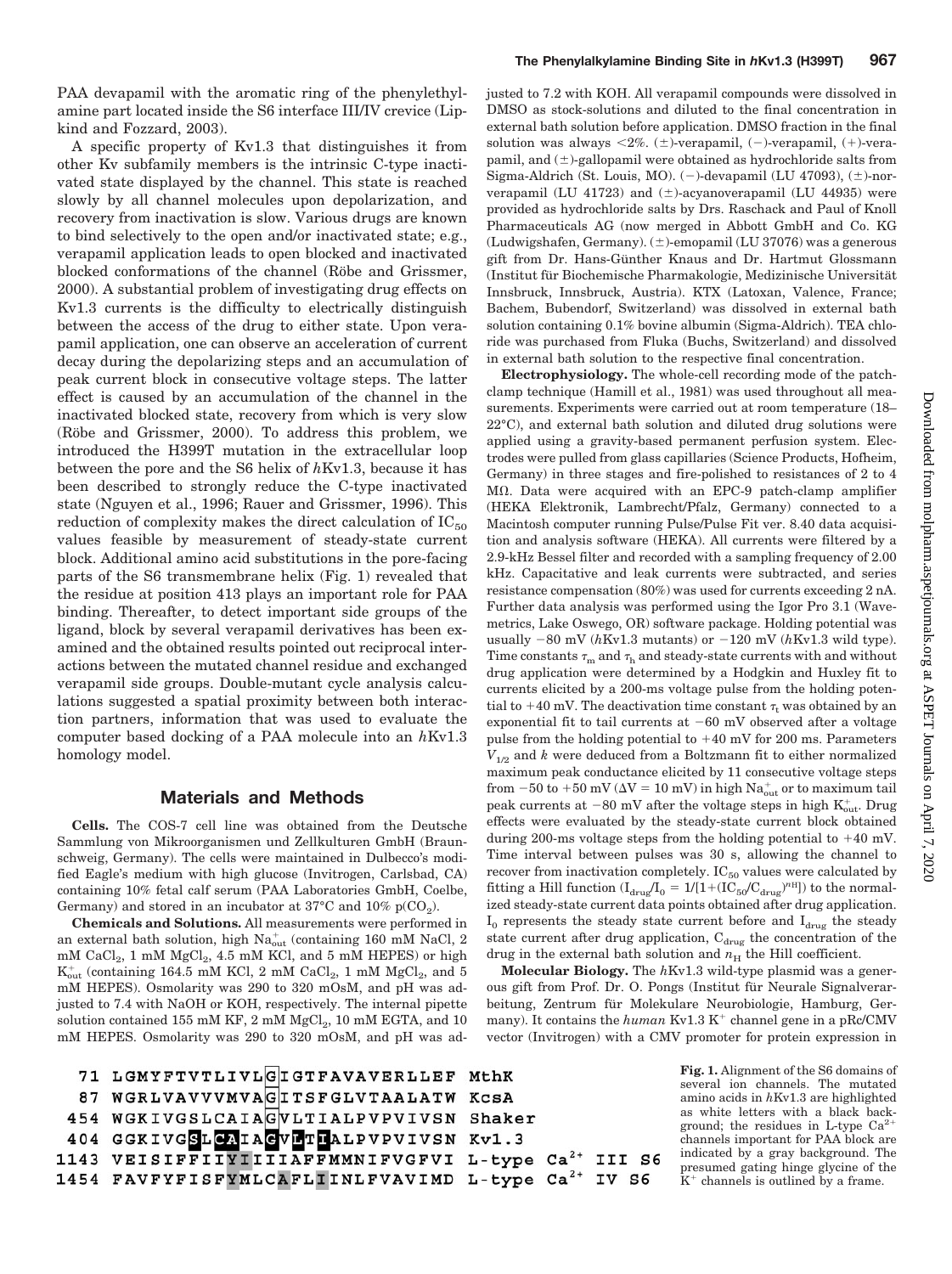PAA devapamil with the aromatic ring of the phenylethylamine part located inside the S6 interface III/IV crevice (Lipkind and Fozzard, 2003).

A specific property of Kv1.3 that distinguishes it from other Kv subfamily members is the intrinsic C-type inactivated state displayed by the channel. This state is reached slowly by all channel molecules upon depolarization, and recovery from inactivation is slow. Various drugs are known to bind selectively to the open and/or inactivated state; e.g., verapamil application leads to open blocked and inactivated blocked conformations of the channel (Röbe and Grissmer, 2000). A substantial problem of investigating drug effects on Kv1.3 currents is the difficulty to electrically distinguish between the access of the drug to either state. Upon verapamil application, one can observe an acceleration of current decay during the depolarizing steps and an accumulation of peak current block in consecutive voltage steps. The latter effect is caused by an accumulation of the channel in the inactivated blocked state, recovery from which is very slow (Röbe and Grissmer, 2000). To address this problem, we introduced the H399T mutation in the extracellular loop between the pore and the S6 helix of *h*Kv1.3, because it has been described to strongly reduce the C-type inactivated state (Nguyen et al., 1996; Rauer and Grissmer, 1996). This reduction of complexity makes the direct calculation of  $IC_{50}$ values feasible by measurement of steady-state current block. Additional amino acid substitutions in the pore-facing parts of the S6 transmembrane helix (Fig. 1) revealed that the residue at position 413 plays an important role for PAA binding. Thereafter, to detect important side groups of the ligand, block by several verapamil derivatives has been examined and the obtained results pointed out reciprocal interactions between the mutated channel residue and exchanged verapamil side groups. Double-mutant cycle analysis calculations suggested a spatial proximity between both interaction partners, information that was used to evaluate the computer based docking of a PAA molecule into an *h*Kv1.3 homology model.

# **Materials and Methods**

**Cells.** The COS-7 cell line was obtained from the Deutsche Sammlung von Mikroorganismen und Zellkulturen GmbH (Braunschweig, Germany). The cells were maintained in Dulbecco's modified Eagle's medium with high glucose (Invitrogen, Carlsbad, CA) containing 10% fetal calf serum (PAA Laboratories GmbH, Coelbe, Germany) and stored in an incubator at  $37^{\circ}$ C and  $10\%$  p(CO<sub>2</sub>).

**Chemicals and Solutions.** All measurements were performed in an external bath solution, high  $\text{Na}^{\text{+}}_{\text{out}}$  (containing 160 mM NaCl, 2  $mM$  CaCl<sub>2</sub>, 1 mM MgCl<sub>2</sub>, 4.5 mM KCl, and 5 mM HEPES) or high  $\rm K_{out}^+$  (containing 164.5 mM KCl, 2 mM  $\rm CaCl_2,$  1 mM  $\rm MgCl_2,$  and 5 mM HEPES). Osmolarity was 290 to 320 mOsM, and pH was adjusted to 7.4 with NaOH or KOH, respectively. The internal pipette solution contained 155 mM KF,  $2$  mM  $MgCl<sub>2</sub>$ ,  $10$  mM EGTA, and  $10$ mM HEPES. Osmolarity was 290 to 320 mOsM, and pH was adjusted to 7.2 with KOH. All verapamil compounds were dissolved in DMSO as stock-solutions and diluted to the final concentration in external bath solution before application. DMSO fraction in the final solution was always  $\langle 2\%, (\pm)$ -verapamil,  $(-)$ -verapamil,  $(+)$ -verapamil, and  $(\pm)$ -gallopamil were obtained as hydrochloride salts from Sigma-Aldrich (St. Louis, MO). (-)-devapamil (LU 47093),  $(\pm)$ -norverapamil (LU 41723) and  $(\pm)$ -acyanoverapamil (LU 44935) were provided as hydrochloride salts by Drs. Raschack and Paul of Knoll Pharmaceuticals AG (now merged in Abbott GmbH and Co. KG (Ludwigshafen, Germany).  $(\pm)$ -emopamil (LU 37076) was a generous gift from Dr. Hans-Günther Knaus and Dr. Hartmut Glossmann (Institut für Biochemische Pharmakologie, Medizinische Universität Innsbruck, Innsbruck, Austria). KTX (Latoxan, Valence, France; Bachem, Bubendorf, Switzerland) was dissolved in external bath solution containing 0.1% bovine albumin (Sigma-Aldrich). TEA chloride was purchased from Fluka (Buchs, Switzerland) and dissolved in external bath solution to the respective final concentration.

**Electrophysiology.** The whole-cell recording mode of the patchclamp technique (Hamill et al., 1981) was used throughout all measurements. Experiments were carried out at room temperature (18– 22°C), and external bath solution and diluted drug solutions were applied using a gravity-based permanent perfusion system. Electrodes were pulled from glass capillaries (Science Products, Hofheim, Germany) in three stages and fire-polished to resistances of 2 to 4 M. Data were acquired with an EPC-9 patch-clamp amplifier (HEKA Elektronik, Lambrecht/Pfalz, Germany) connected to a Macintosh computer running Pulse/Pulse Fit ver. 8.40 data acquisition and analysis software (HEKA). All currents were filtered by a 2.9-kHz Bessel filter and recorded with a sampling frequency of 2.00 kHz. Capacitative and leak currents were subtracted, and series resistance compensation (80%) was used for currents exceeding 2 nA. Further data analysis was performed using the Igor Pro 3.1 (Wavemetrics, Lake Oswego, OR) software package. Holding potential was usually  $-80$  mV ( $h$ Kv1.3 mutants) or  $-120$  mV ( $h$ Kv1.3 wild type). Time constants  $\tau_{\mathrm{m}}$  and  $\tau_{\mathrm{h}}$  and steady-state currents with and without drug application were determined by a Hodgkin and Huxley fit to currents elicited by a 200-ms voltage pulse from the holding potential to +40 mV. The deactivation time constant  $\tau_{\rm t}$  was obtained by an exponential fit to tail currents at  $-60$  mV observed after a voltage pulse from the holding potential to  $+40$  mV for 200 ms. Parameters  $V_{1/2}$  and  $k$  were deduced from a Boltzmann fit to either normalized maximum peak conductance elicited by 11 consecutive voltage steps from  $-50$  to  $+50$  mV ( $\Delta$ V =  $10$  mV) in high  $\mathrm{Na_{out}^+}$  or to maximum tail peak currents at  $-80$  mV after the voltage steps in high  $\text{K}^{\text{+}}_{\text{out}}$ . Drug effects were evaluated by the steady-state current block obtained during 200-ms voltage steps from the holding potential to  $+40$  mV. Time interval between pulses was 30 s, allowing the channel to recover from inactivation completely.  $IC_{50}$  values were calculated by fitting a Hill function  $(I_{\text{drug}}/I_0 = 1/(1+(IC_{50}/C_{\text{drug}})^{n_{\text{H}}}])$  to the normalized steady-state current data points obtained after drug application.  $I_0$  represents the steady state current before and  $I_{drag}$  the steady state current after drug application,  $C_{drag}$  the concentration of the drug in the external bath solution and  $n<sub>H</sub>$  the Hill coefficient.

**Molecular Biology.** The *h*Kv1.3 wild-type plasmid was a generous gift from Prof. Dr. O. Pongs (Institut für Neurale Signalverarbeitung, Zentrum für Molekulare Neurobiologie, Hamburg, Germany). It contains the  $human$  Kv1.3 K<sup>+</sup> channel gene in a pRc/CMV vector (Invitrogen) with a CMV promoter for protein expression in

> **Fig. 1.** Alignment of the S6 domains of several ion channels. The mutated amino acids in *h*Kv1.3 are highlighted as white letters with a black background; the residues in L-type  $Ca^{2+}$ channels important for PAA block are indicated by a gray background. The presumed gating hinge glycine of the  $K<sup>+</sup>$  channels is outlined by a frame.

```
71 LGMYFTVTLIVLGIGTFAVAVERLLEF MthK
  87 WGRLVAVVVMVAGITSFGLVTAALATW KCSA
 454 WGKIVGSLCAIAGVLTIALPVPVIVSN Shaker
 404 GGKIVGSLCAIAGVLTIALPVPVIVSN Kv1.3
1143 VEISIFFIIYIIIIAFFMMNIFVGFVI L-type Ca<sup>2+</sup> III S6
1454 FAVFYFISFYMLCAFLIINLFVAVIMD L-type Ca<sup>2+</sup> IV S6
```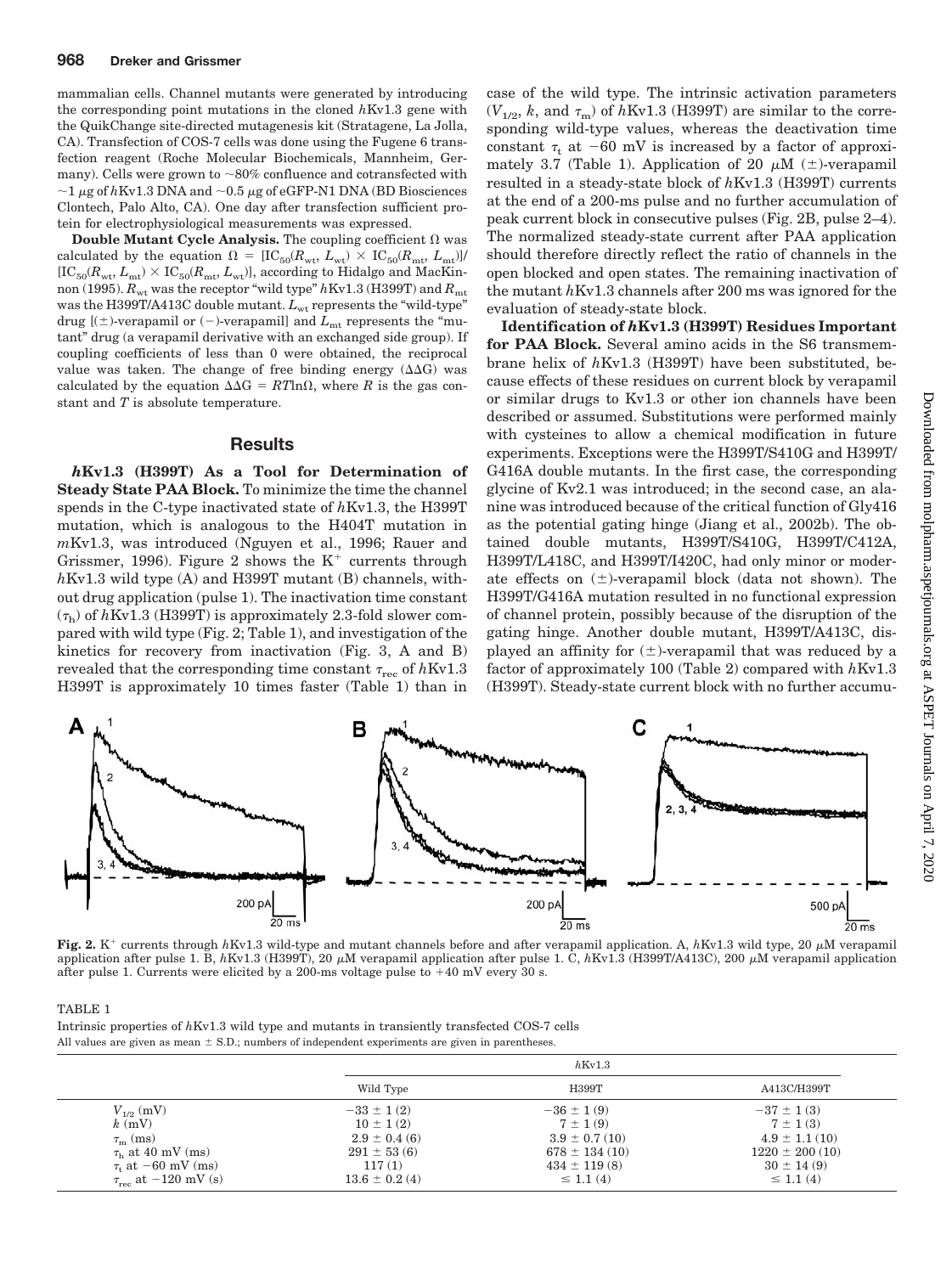mammalian cells. Channel mutants were generated by introducing the corresponding point mutations in the cloned *h*Kv1.3 gene with the QuikChange site-directed mutagenesis kit (Stratagene, La Jolla, CA). Transfection of COS-7 cells was done using the Fugene 6 transfection reagent (Roche Molecular Biochemicals, Mannheim, Germany). Cells were grown to  $\sim 80\%$  confluence and cotransfected with  $\sim$ 1  $\mu$ g of *h*Kv1.3 DNA and  $\sim$ 0.5  $\mu$ g of eGFP-N1 DNA (BD Biosciences Clontech, Palo Alto, CA). One day after transfection sufficient protein for electrophysiological measurements was expressed.

**Double Mutant Cycle Analysis.** The coupling coefficient  $\Omega$  was calculated by the equation  $\Omega = [IC_{50}(R_{\rm wt}, L_{\rm wt}) \times IC_{50}(R_{\rm mt}, L_{\rm mt})]$ /  $[IC_{50}(R_{\rm wt}, L_{\rm mt}) \times IC_{50}(R_{\rm mt}, L_{\rm wt})]$ , according to Hidalgo and MacKinnon (1995).  $R_{\text{wt}}$  was the receptor "wild type"  $h$ Kv1.3 (H399T) and  $R_{\text{mt}}$ was the H399T/A413C double mutant. L<sub>wt</sub> represents the "wild-type" drug  $[(\pm)$ -verapamil or  $(-)$ -verapamil] and  $L_{mt}$  represents the "mutant" drug (a verapamil derivative with an exchanged side group). If coupling coefficients of less than 0 were obtained, the reciprocal value was taken. The change of free binding energy  $(\Delta \Delta G)$  was calculated by the equation  $\Delta\Delta G = RT \ln \Omega$ , where *R* is the gas constant and *T* is absolute temperature.

#### **Results**

*h***Kv1.3 (H399T) As a Tool for Determination of Steady State PAA Block.** To minimize the time the channel spends in the C-type inactivated state of *h*Kv1.3, the H399T mutation, which is analogous to the H404T mutation in *m*Kv1.3, was introduced (Nguyen et al., 1996; Rauer and Grissmer, 1996). Figure 2 shows the  $K^+$  currents through *h*Kv1.3 wild type (A) and H399T mutant (B) channels, without drug application (pulse 1). The inactivation time constant  $(\tau_{\rm h})$  of  $h{\rm Kv}1.3$  (H399T) is approximately 2.3-fold slower compared with wild type (Fig. 2; Table 1), and investigation of the kinetics for recovery from inactivation (Fig. 3, A and B)  $r$ evealed that the corresponding time constant  $\tau_{\rm rec}$  of  $h{\rm Kv1.3}$ H399T is approximately 10 times faster (Table 1) than in

case of the wild type. The intrinsic activation parameters  $(V_{1/2}, k$ , and  $\tau_{\rm m}$ ) of  $h$ Kv1.3 (H399T) are similar to the corresponding wild-type values, whereas the deactivation time constant  $\tau_t$  at  $-60$  mV is increased by a factor of approximately 3.7 (Table 1). Application of 20  $\mu$ M ( $\pm$ )-verapamil resulted in a steady-state block of *h*Kv1.3 (H399T) currents at the end of a 200-ms pulse and no further accumulation of peak current block in consecutive pulses (Fig. 2B, pulse 2–4). The normalized steady-state current after PAA application should therefore directly reflect the ratio of channels in the open blocked and open states. The remaining inactivation of the mutant *h*Kv1.3 channels after 200 ms was ignored for the evaluation of steady-state block.

**Identification of** *h***Kv1.3 (H399T) Residues Important for PAA Block.** Several amino acids in the S6 transmembrane helix of *h*Kv1.3 (H399T) have been substituted, because effects of these residues on current block by verapamil or similar drugs to Kv1.3 or other ion channels have been described or assumed. Substitutions were performed mainly with cysteines to allow a chemical modification in future experiments. Exceptions were the H399T/S410G and H399T/ G416A double mutants. In the first case, the corresponding glycine of Kv2.1 was introduced; in the second case, an alanine was introduced because of the critical function of Gly416 as the potential gating hinge (Jiang et al., 2002b). The obtained double mutants, H399T/S410G, H399T/C412A, H399T/L418C, and H399T/I420C, had only minor or moderate effects on  $(\pm)$ -verapamil block (data not shown). The H399T/G416A mutation resulted in no functional expression of channel protein, possibly because of the disruption of the gating hinge. Another double mutant, H399T/A413C, displayed an affinity for  $(\pm)$ -verapamil that was reduced by a factor of approximately 100 (Table 2) compared with *h*Kv1.3 (H399T). Steady-state current block with no further accumu-



**Fig. 2.** K<sup>+</sup> currents through  $hKv1.3$  wild-type and mutant channels before and after verapamil application. A,  $hKv1.3$  wild type, 20  $\mu$ M verapamil application after pulse 1. B,  $h$ Kv1.3 (H399T), 20  $\mu$ M verapamil application after pulse 1. C,  $h$ Kv1.3 (H399T/A413C), 200  $\mu$ M verapamil application after pulse 1. Currents were elicited by a 200-ms voltage pulse to 40 mV every 30 s.

TABLE 1

Intrinsic properties of *h*Kv1.3 wild type and mutants in transiently transfected COS-7 cells All values are given as mean  $\pm$  S.D.; numbers of independent experiments are given in parentheses.

|                                                                                                                                                 | $h$ Kv1.3                                                                                              |                                                                                                                |                                                                                                               |
|-------------------------------------------------------------------------------------------------------------------------------------------------|--------------------------------------------------------------------------------------------------------|----------------------------------------------------------------------------------------------------------------|---------------------------------------------------------------------------------------------------------------|
|                                                                                                                                                 | Wild Type                                                                                              | H399T                                                                                                          | A413C/H399T                                                                                                   |
| $V_{1/2}$ (mV)<br>$k$ (mV)<br>$\tau_{\rm m}$ (ms)<br>$\tau_{\rm h}$ at 40 mV (ms)<br>$\tau_t$ at $-60$ mV (ms)<br>$\tau_{rec}$ at $-120$ mV (s) | $-33 \pm 1(2)$<br>$10 \pm 1(2)$<br>$2.9 \pm 0.4$ (6)<br>$291 \pm 53(6)$<br>117(1)<br>$13.6 \pm 0.2(4)$ | $-36 \pm 1(9)$<br>$7 \pm 1(9)$<br>$3.9 \pm 0.7(10)$<br>$678 \pm 134(10)$<br>$434 \pm 119(8)$<br>$\leq$ 1.1 (4) | $-37 \pm 1(3)$<br>$7 \pm 1(3)$<br>$4.9 \pm 1.1(10)$<br>$1220 \pm 200(10)$<br>$30 \pm 14(9)$<br>$\leq$ 1.1 (4) |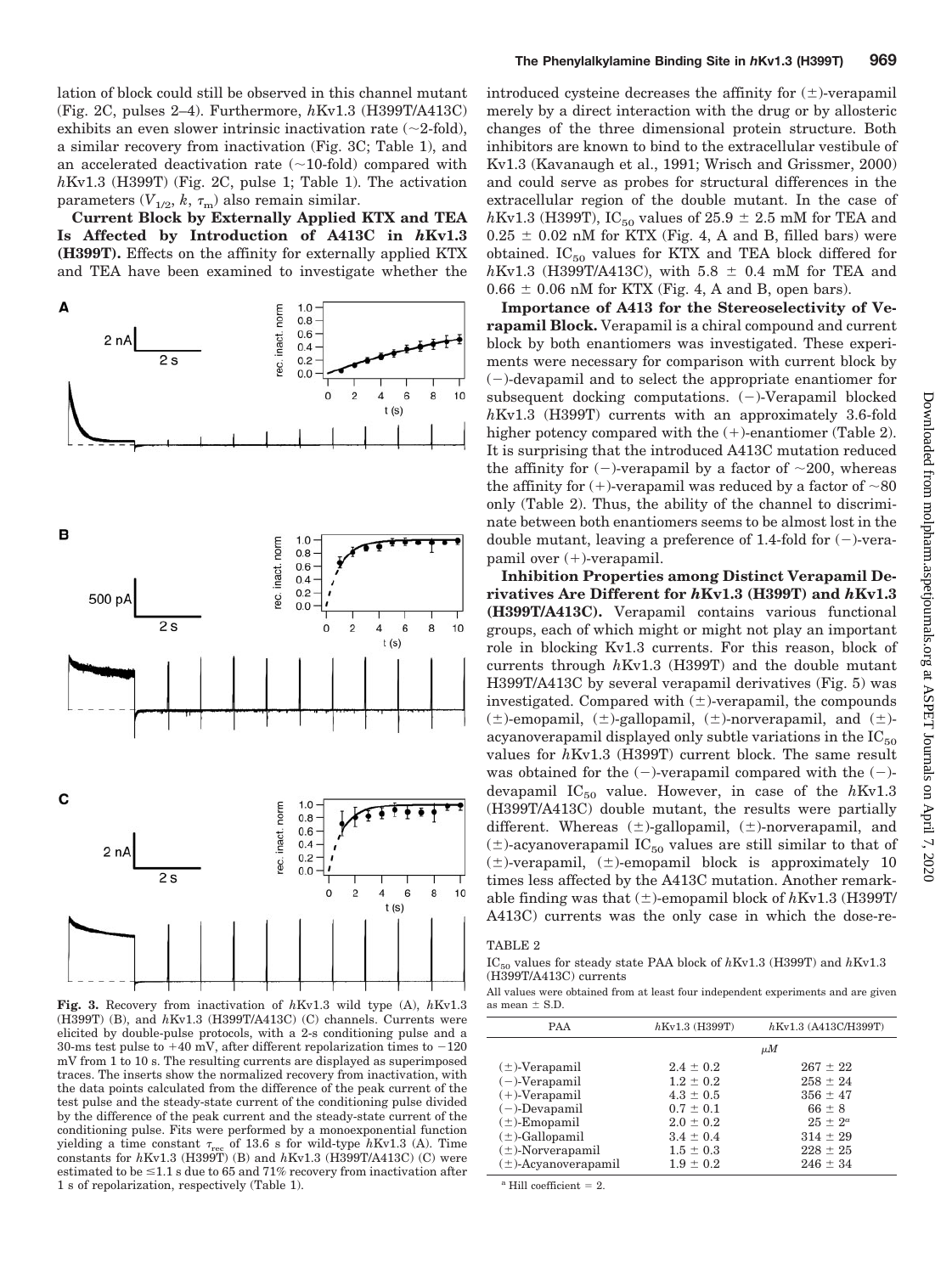lation of block could still be observed in this channel mutant (Fig. 2C, pulses 2–4). Furthermore, *h*Kv1.3 (H399T/A413C) exhibits an even slower intrinsic inactivation rate  $(\sim 2\text{-fold})$ , a similar recovery from inactivation (Fig. 3C; Table 1), and an accelerated deactivation rate  $(\sim 10\text{-fold})$  compared with *h*Kv1.3 (H399T) (Fig. 2C, pulse 1; Table 1). The activation parameters  $(V_{1/2}, k, \tau_{\text{m}})$  also remain similar.

**Current Block by Externally Applied KTX and TEA Is Affected by Introduction of A413C in** *h***Kv1.3 (H399T).** Effects on the affinity for externally applied KTX and TEA have been examined to investigate whether the



**Fig. 3.** Recovery from inactivation of *h*Kv1.3 wild type (A), *h*Kv1.3 (H399T) (B), and *h*Kv1.3 (H399T/A413C) (C) channels. Currents were elicited by double-pulse protocols, with a 2-s conditioning pulse and a 30-ms test pulse to  $+40$  mV, after different repolarization times to  $-120$ mV from 1 to 10 s. The resulting currents are displayed as superimposed traces. The inserts show the normalized recovery from inactivation, with the data points calculated from the difference of the peak current of the test pulse and the steady-state current of the conditioning pulse divided by the difference of the peak current and the steady-state current of the conditioning pulse. Fits were performed by a monoexponential function yielding a time constant  $\tau_{rec}$  of 13.6 s for wild-type *h*Kv1.3 (A). Time constants for *h*Kv1.3 (H399T) (B) and *h*Kv1.3 (H399T/A413C) (C) were estimated to be  $\leq 1.1$  s due to 65 and 71% recovery from inactivation after 1 s of repolarization, respectively (Table 1).

introduced cysteine decreases the affinity for  $(\pm)$ -verapamil merely by a direct interaction with the drug or by allosteric changes of the three dimensional protein structure. Both inhibitors are known to bind to the extracellular vestibule of Kv1.3 (Kavanaugh et al., 1991; Wrisch and Grissmer, 2000) and could serve as probes for structural differences in the extracellular region of the double mutant. In the case of *h*Kv1.3 (H399T), IC<sub>50</sub> values of 25.9  $\pm$  2.5 mM for TEA and  $0.25 \pm 0.02$  nM for KTX (Fig. 4, A and B, filled bars) were obtained.  $IC_{50}$  values for KTX and TEA block differed for  $h$ Kv1.3 (H399T/A413C), with 5.8  $\pm$  0.4 mM for TEA and  $0.66 \pm 0.06$  nM for KTX (Fig. 4, A and B, open bars).

**Importance of A413 for the Stereoselectivity of Verapamil Block.** Verapamil is a chiral compound and current block by both enantiomers was investigated. These experiments were necessary for comparison with current block by  $(-)$ -devapamil and to select the appropriate enantiomer for subsequent docking computations.  $(-)$ -Verapamil blocked *h*Kv1.3 (H399T) currents with an approximately 3.6-fold higher potency compared with the  $(+)$ -enantiomer (Table 2). It is surprising that the introduced A413C mutation reduced the affinity for  $(-)$ -verapamil by a factor of  $\sim$ 200, whereas the affinity for  $(+)$ -verapamil was reduced by a factor of  $\sim 80$ only (Table 2). Thus, the ability of the channel to discriminate between both enantiomers seems to be almost lost in the double mutant, leaving a preference of 1.4-fold for  $(-)$ -verapamil over  $(+)$ -verapamil.

**Inhibition Properties among Distinct Verapamil Derivatives Are Different for** *h***Kv1.3 (H399T) and** *h***Kv1.3 (H399T/A413C).** Verapamil contains various functional groups, each of which might or might not play an important role in blocking Kv1.3 currents. For this reason, block of currents through *h*Kv1.3 (H399T) and the double mutant H399T/A413C by several verapamil derivatives (Fig. 5) was investigated. Compared with  $(\pm)$ -verapamil, the compounds  $(\pm)$ -emopamil,  $(\pm)$ -gallopamil,  $(\pm)$ -norverapamil, and  $(\pm)$ acyanoverapamil displayed only subtle variations in the  $IC_{50}$ values for *h*Kv1.3 (H399T) current block. The same result was obtained for the  $(-)$ -verapamil compared with the  $(-)$ devapamil  $IC_{50}$  value. However, in case of the  $hKv1.3$ (H399T/A413C) double mutant, the results were partially different. Whereas  $(\pm)$ -gallopamil,  $(\pm)$ -norverapamil, and  $(\pm)$ -acyanoverapamil IC<sub>50</sub> values are still similar to that of  $(\pm)$ -verapamil,  $(\pm)$ -emopamil block is approximately 10 times less affected by the A413C mutation. Another remarkable finding was that  $(\pm)$ -emopamil block of  $h$ Kv1.3 (H399T/ A413C) currents was the only case in which the dose-re-

## TABLE 2

IC50 values for steady state PAA block of *h*Kv1.3 (H399T) and *h*Kv1.3 (H399T/A413C) currents

All values were obtained from at least four independent experiments and are given as mean  $\pm$  S.D.

| <b>PAA</b>               | $h$ Kv1.3 (H399T) | $h$ Kv1.3 (A413C/H399T) |
|--------------------------|-------------------|-------------------------|
|                          |                   | $\mu M$                 |
| $(\pm)$ -Verapamil       | $2.4 \pm 0.2$     | $267 \pm 22$            |
| $(-)$ -Verapamil         | $1.2 \pm 0.2$     | $258 \pm 24$            |
| $(+)$ -Verapamil         | $4.3 \pm 0.5$     | $356 \pm 47$            |
| $(-)$ -Devapamil         | $0.7 \pm 0.1$     | $66 \pm 8$              |
| $(\pm)$ -Emopamil        | $2.0 \pm 0.2$     | $25 \pm 2^a$            |
| $(\pm)$ -Gallopamil      | $3.4 \pm 0.4$     | $314 \pm 29$            |
| $(\pm)$ -Norverapamil    | $1.5 \pm 0.3$     | $228 \pm 25$            |
| $(\pm)$ -Acyanoverapamil | $1.9 \pm 0.2$     | $246 \pm 34$            |

 $^{\rm a}$  Hill coefficient = 2.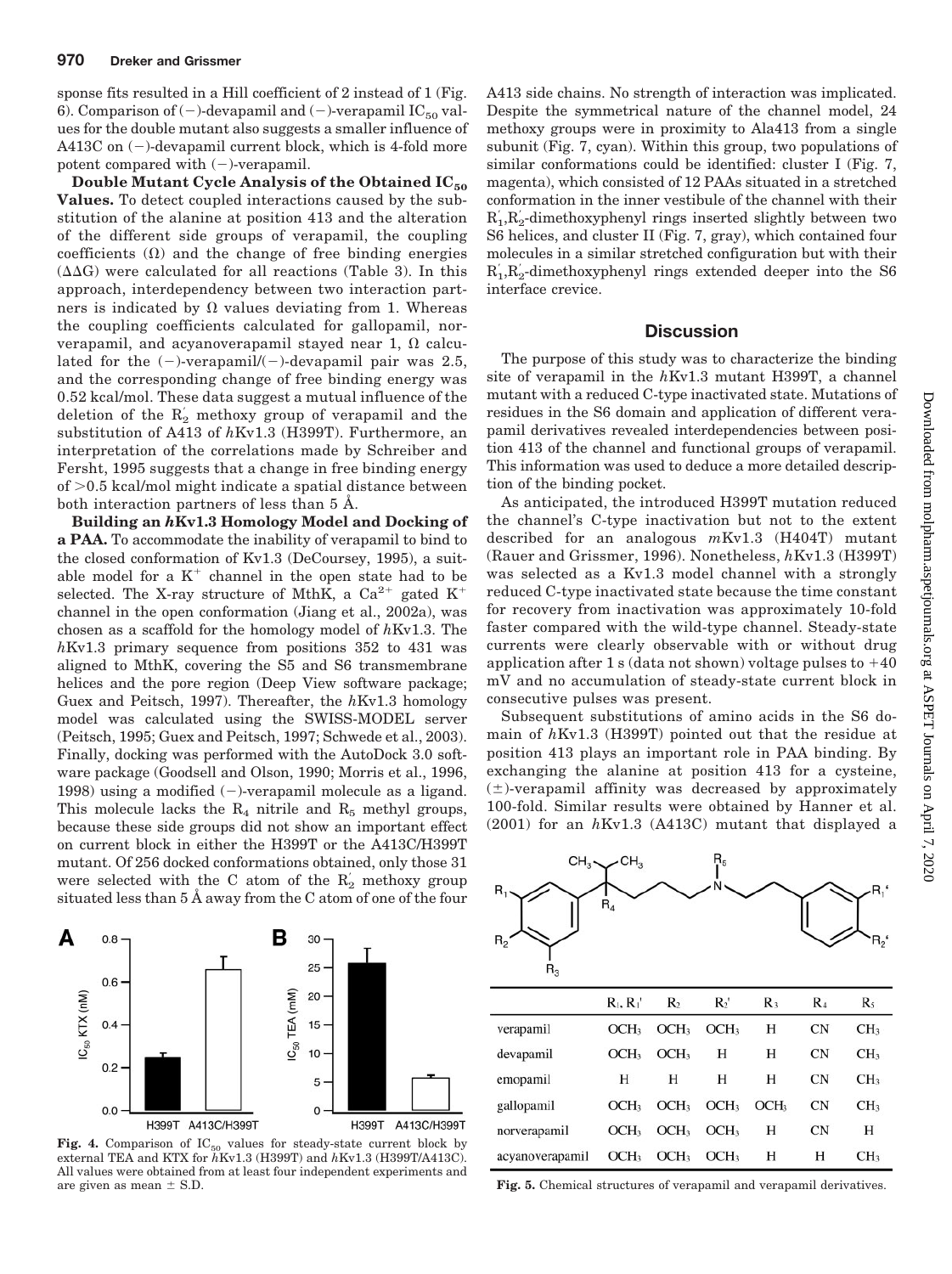sponse fits resulted in a Hill coefficient of 2 instead of 1 (Fig. 6). Comparison of  $(-)$ -devapamil and  $(-)$ -verapamil IC<sub>50</sub> values for the double mutant also suggests a smaller influence of A413C on  $(-)$ -devapamil current block, which is 4-fold more potent compared with  $(-)$ -verapamil.

**Double Mutant Cycle Analysis of the Obtained IC50 Values.** To detect coupled interactions caused by the substitution of the alanine at position 413 and the alteration of the different side groups of verapamil, the coupling coefficients  $(\Omega)$  and the change of free binding energies  $(\Delta \Delta G)$  were calculated for all reactions (Table 3). In this approach, interdependency between two interaction partners is indicated by  $\Omega$  values deviating from 1. Whereas the coupling coefficients calculated for gallopamil, norverapamil, and acyanoverapamil stayed near 1,  $\Omega$  calculated for the  $(-)$ -verapamil/ $(-)$ -devapamil pair was 2.5, and the corresponding change of free binding energy was 0.52 kcal/mol. These data suggest a mutual influence of the deletion of the  $R_2$  methoxy group of verapamil and the substitution of A413 of *h*Kv1.3 (H399T). Furthermore, an interpretation of the correlations made by Schreiber and Fersht, 1995 suggests that a change in free binding energy of  $>0.5$  kcal/mol might indicate a spatial distance between both interaction partners of less than 5 Å.

**Building an** *h***Kv1.3 Homology Model and Docking of a PAA.** To accommodate the inability of verapamil to bind to the closed conformation of Kv1.3 (DeCoursey, 1995), a suitable model for a  $K^+$  channel in the open state had to be selected. The X-ray structure of MthK, a  $Ca^{2+}$  gated K<sup>+</sup> channel in the open conformation (Jiang et al., 2002a), was chosen as a scaffold for the homology model of *h*Kv1.3. The *h*Kv1.3 primary sequence from positions 352 to 431 was aligned to MthK, covering the S5 and S6 transmembrane helices and the pore region (Deep View software package; Guex and Peitsch, 1997). Thereafter, the *h*Kv1.3 homology model was calculated using the SWISS-MODEL server (Peitsch, 1995; Guex and Peitsch, 1997; Schwede et al., 2003). Finally, docking was performed with the AutoDock 3.0 software package (Goodsell and Olson, 1990; Morris et al., 1996, 1998) using a modified  $(-)$ -verapamil molecule as a ligand. This molecule lacks the  $R_4$  nitrile and  $R_5$  methyl groups, because these side groups did not show an important effect on current block in either the H399T or the A413C/H399T mutant. Of 256 docked conformations obtained, only those 31 were selected with the C atom of the  $R'_2$  methoxy group situated less than 5 Å away from the C atom of one of the four



**Fig. 4.** Comparison of  $IC_{50}$  values for steady-state current block by external TEA and KTX for *h*Kv1.3 (H399T) and *h*Kv1.3 (H399T/A413C). All values were obtained from at least four independent experiments and are given as mean  $\pm$  S.D. **Fig. 5.** Chemical structures of verapamil and verapamil derivatives.

A413 side chains. No strength of interaction was implicated. Despite the symmetrical nature of the channel model, 24 methoxy groups were in proximity to Ala413 from a single subunit (Fig. 7, cyan). Within this group, two populations of similar conformations could be identified: cluster I (Fig. 7, magenta), which consisted of 12 PAAs situated in a stretched conformation in the inner vestibule of the channel with their  $R_1,R_2$ -dimethoxyphenyl rings inserted slightly between two S6 helices, and cluster II (Fig. 7, gray), which contained four molecules in a similar stretched configuration but with their  $R_1,R_2$ -dimethoxyphenyl rings extended deeper into the S6 interface crevice.

# **Discussion**

The purpose of this study was to characterize the binding site of verapamil in the *h*Kv1.3 mutant H399T, a channel mutant with a reduced C-type inactivated state. Mutations of residues in the S6 domain and application of different verapamil derivatives revealed interdependencies between position 413 of the channel and functional groups of verapamil. This information was used to deduce a more detailed description of the binding pocket.

As anticipated, the introduced H399T mutation reduced the channel's C-type inactivation but not to the extent described for an analogous *m*Kv1.3 (H404T) mutant (Rauer and Grissmer, 1996). Nonetheless, *h*Kv1.3 (H399T) was selected as a Kv1.3 model channel with a strongly reduced C-type inactivated state because the time constant for recovery from inactivation was approximately 10-fold faster compared with the wild-type channel. Steady-state currents were clearly observable with or without drug application after 1 s (data not shown) voltage pulses to  $+40$ mV and no accumulation of steady-state current block in consecutive pulses was present.

Subsequent substitutions of amino acids in the S6 domain of *h*Kv1.3 (H399T) pointed out that the residue at position 413 plays an important role in PAA binding. By exchanging the alanine at position 413 for a cysteine,  $(\pm)$ -verapamil affinity was decreased by approximately 100-fold. Similar results were obtained by Hanner et al. (2001) for an *h*Kv1.3 (A413C) mutant that displayed a



|                 | $R_1, R_1$       | R <sub>2</sub>   | $R_2$            | $R_{3}$          | $\mathbf{R}_{4}$ | $R_5$           |
|-----------------|------------------|------------------|------------------|------------------|------------------|-----------------|
| verapamil       | OCH <sub>3</sub> | OCH <sub>3</sub> | OCH <sub>3</sub> | Н                | <b>CN</b>        | CH <sub>3</sub> |
| devapamil       | OCH <sub>3</sub> | OCH <sub>3</sub> | Н                | Н                | <b>CN</b>        | CH <sub>3</sub> |
| emopamil        | Н                | Н                | Н                | Н                | CN               | CH <sub>3</sub> |
| gallopamil      | OCH <sub>3</sub> | OCH <sub>3</sub> | OCH <sub>3</sub> | OCH <sub>3</sub> | <b>CN</b>        | CH <sub>3</sub> |
| norverapamil    | OCH <sub>3</sub> | OCH <sub>3</sub> | OCH <sub>3</sub> | Н                | <b>CN</b>        | Н               |
| acyanoverapamil | OCH <sub>3</sub> | OCH <sub>3</sub> | OCH <sub>3</sub> | Н                | н                | CH <sub>3</sub> |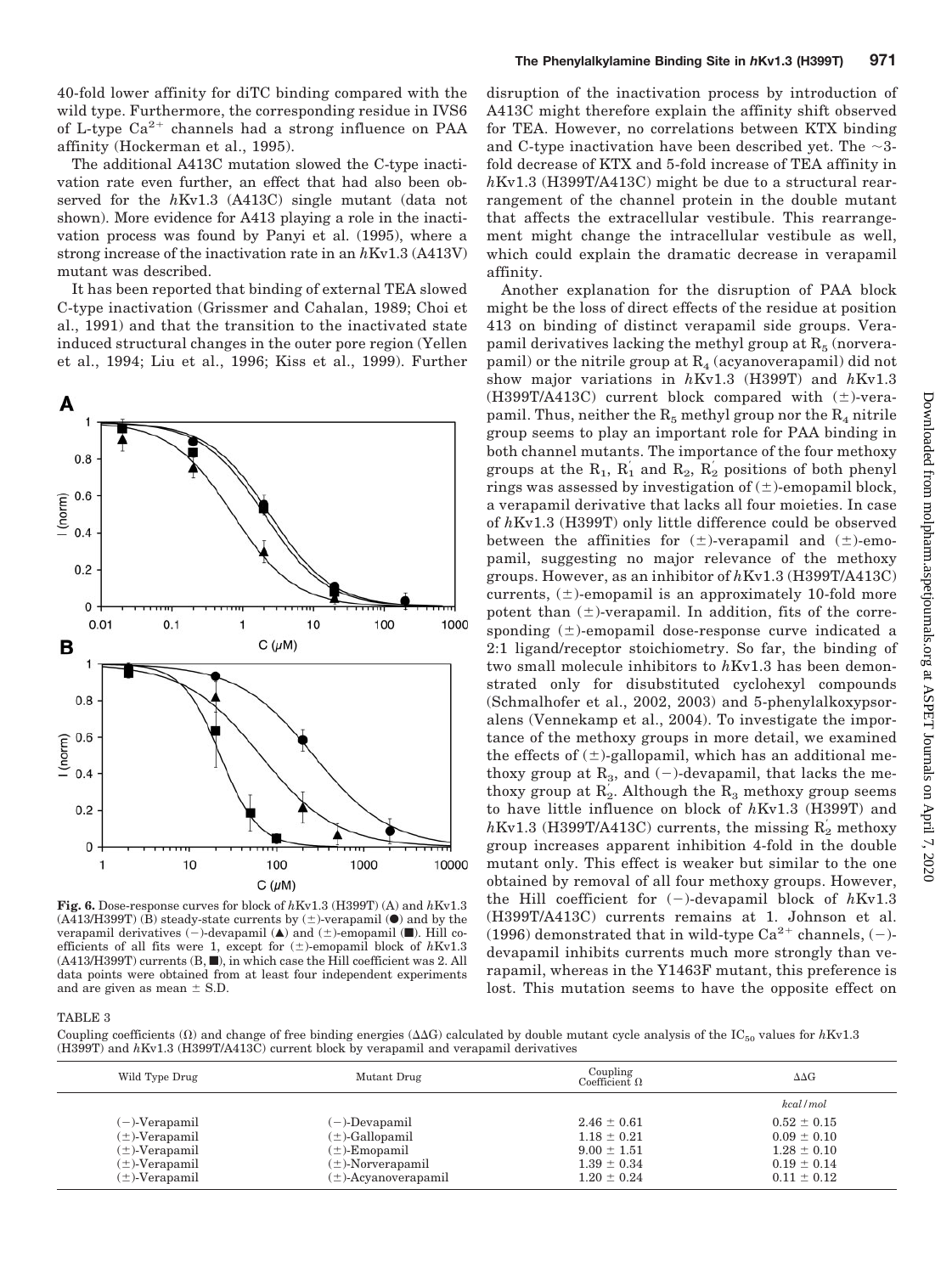40-fold lower affinity for diTC binding compared with the wild type. Furthermore, the corresponding residue in IVS6 of L-type  $Ca^{2+}$  channels had a strong influence on PAA affinity (Hockerman et al., 1995).

The additional A413C mutation slowed the C-type inactivation rate even further, an effect that had also been observed for the *h*Kv1.3 (A413C) single mutant (data not shown). More evidence for A413 playing a role in the inactivation process was found by Panyi et al. (1995), where a strong increase of the inactivation rate in an *h*Kv1.3 (A413V) mutant was described.

It has been reported that binding of external TEA slowed C-type inactivation (Grissmer and Cahalan, 1989; Choi et al., 1991) and that the transition to the inactivated state induced structural changes in the outer pore region (Yellen et al., 1994; Liu et al., 1996; Kiss et al., 1999). Further



**Fig. 6.** Dose-response curves for block of *h*Kv1.3 (H399T) (A) and *h*Kv1.3 (A413/H399T) (B) steady-state currents by  $(\pm)$ -verapamil ( $\bullet$ ) and by the verapamil derivatives  $(-)$ -devapamil ( $\blacktriangle$ ) and  $(\pm)$ -emopamil ( $\blacksquare$ ). Hill coefficients of all fits were 1, except for  $(\pm)$ -emopamil block of  $h$ Kv1.3 (A413/H399T) currents (B,  $\blacksquare$ ), in which case the Hill coefficient was 2. All data points were obtained from at least four independent experiments and are given as mean  $\pm$  S.D.

disruption of the inactivation process by introduction of A413C might therefore explain the affinity shift observed for TEA. However, no correlations between KTX binding and C-type inactivation have been described yet. The  $\sim$ 3fold decrease of KTX and 5-fold increase of TEA affinity in *h*Kv1.3 (H399T/A413C) might be due to a structural rearrangement of the channel protein in the double mutant that affects the extracellular vestibule. This rearrangement might change the intracellular vestibule as well, which could explain the dramatic decrease in verapamil affinity.

Another explanation for the disruption of PAA block might be the loss of direct effects of the residue at position 413 on binding of distinct verapamil side groups. Verapamil derivatives lacking the methyl group at  $R_5$  (norverapamil) or the nitrile group at  $R_4$  (acyanoverapamil) did not show major variations in *h*Kv1.3 (H399T) and *h*Kv1.3 (H399T/A413C) current block compared with  $(\pm)$ -verapamil. Thus, neither the  $R_5$  methyl group nor the  $R_4$  nitrile group seems to play an important role for PAA binding in both channel mutants. The importance of the four methoxy groups at the  $R_1$ ,  $R'_1$  and  $R_2$ ,  $R'_2$  positions of both phenyl rings was assessed by investigation of  $(\pm)$ -emopamil block, a verapamil derivative that lacks all four moieties. In case of *h*Kv1.3 (H399T) only little difference could be observed between the affinities for  $(\pm)$ -verapamil and  $(\pm)$ -emopamil, suggesting no major relevance of the methoxy groups. However, as an inhibitor of *h*Kv1.3 (H399T/A413C) currents,  $(\pm)$ -emopamil is an approximately 10-fold more potent than  $(\pm)$ -verapamil. In addition, fits of the corresponding  $(\pm)$ -emopamil dose-response curve indicated a 2:1 ligand/receptor stoichiometry. So far, the binding of two small molecule inhibitors to *h*Kv1.3 has been demonstrated only for disubstituted cyclohexyl compounds (Schmalhofer et al., 2002, 2003) and 5-phenylalkoxypsoralens (Vennekamp et al., 2004). To investigate the importance of the methoxy groups in more detail, we examined the effects of  $(\pm)$ -gallopamil, which has an additional methoxy group at  $R_3$ , and (-)-devapamil, that lacks the methoxy group at  $\mathrm{R}_2$ . Although the  $\mathrm{R}_3$  methoxy group seems to have little influence on block of *h*Kv1.3 (H399T) and  $h$ Kv1.3 (H399T/A413C) currents, the missing  $R^{'}_2$  methoxy group increases apparent inhibition 4-fold in the double mutant only. This effect is weaker but similar to the one obtained by removal of all four methoxy groups. However, the Hill coefficient for  $(-)$ -devapamil block of  $h$ Kv1.3 (H399T/A413C) currents remains at 1. Johnson et al. (1996) demonstrated that in wild-type  $Ca^{2+}$  channels, (-)devapamil inhibits currents much more strongly than verapamil, whereas in the Y1463F mutant, this preference is lost. This mutation seems to have the opposite effect on

## TABLE 3

Coupling coefficients ( $\Omega$ ) and change of free binding energies ( $\Delta\Delta G$ ) calculated by double mutant cycle analysis of the IC<sub>50</sub> values for *hKv*1.3 (H399T) and *h*Kv1.3 (H399T/A413C) current block by verapamil and verapamil derivatives

| Wild Type Drug     | Mutant Drug              | Coupling<br>Coefficient $\Omega$ | $\Delta\Delta G$ |
|--------------------|--------------------------|----------------------------------|------------------|
|                    |                          |                                  | kcal/mol         |
| $(-)$ -Verapamil   | (-)-Devapamil            | $2.46 \pm 0.61$                  | $0.52 \pm 0.15$  |
| $(\pm)$ -Verapamil | $(\pm)$ -Gallopamil      | $1.18 \pm 0.21$                  | $0.09 \pm 0.10$  |
| $(\pm)$ -Verapamil | $(\pm)$ -Emopamil        | $9.00 \pm 1.51$                  | $1.28 \pm 0.10$  |
| $(\pm)$ -Verapamil | $(\pm)$ -Norverapamil    | $1.39 \pm 0.34$                  | $0.19 \pm 0.14$  |
| $(\pm)$ -Verapamil | $(\pm)$ -Acyanoverapamil | $1.20 \pm 0.24$                  | $0.11 \pm 0.12$  |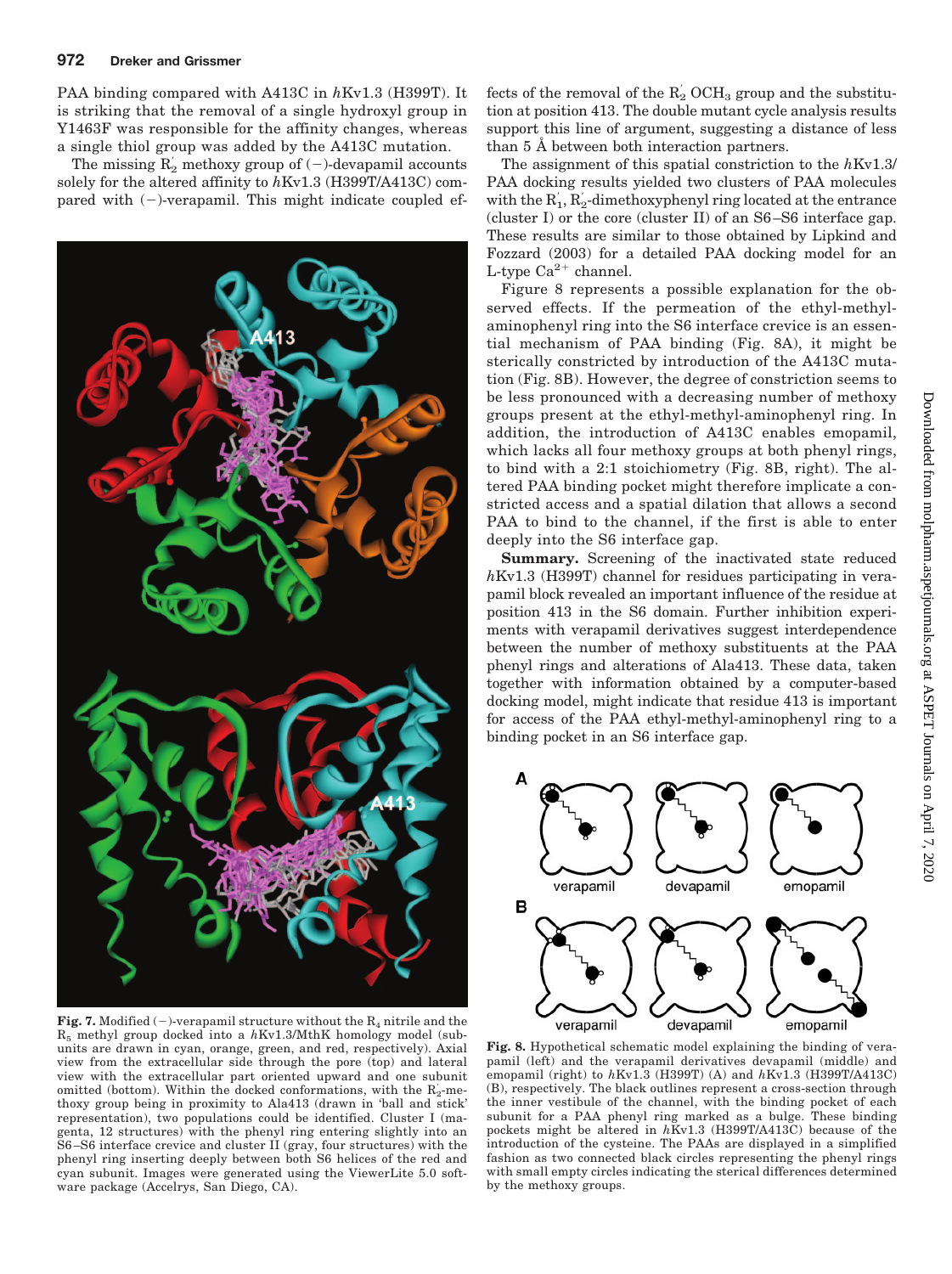# **972 Dreker and Grissmer**

PAA binding compared with A413C in *h*Kv1.3 (H399T). It is striking that the removal of a single hydroxyl group in Y1463F was responsible for the affinity changes, whereas a single thiol group was added by the A413C mutation.

The missing  $R_2$  methoxy group of (-)-devapamil accounts solely for the altered affinity to *h*Kv1.3 (H399T/A413C) compared with  $(-)$ -verapamil. This might indicate coupled ef-



**Fig. 7.** Modified (-)-verapamil structure without the  $R_4$  nitrile and the  $R_5$  methyl group docked into a  $h$ Kv1.3/MthK homology model (subunits are drawn in cyan, orange, green, and red, respectively). Axial view from the extracellular side through the pore (top) and lateral view with the extracellular part oriented upward and one subunit omitted (bottom). Within the docked conformations, with the  $R'_2$ -methoxy group being in proximity to Ala413 (drawn in 'ball and stick' representation), two populations could be identified. Cluster I (magenta, 12 structures) with the phenyl ring entering slightly into an S6 –S6 interface crevice and cluster II (gray, four structures) with the phenyl ring inserting deeply between both S6 helices of the red and cyan subunit. Images were generated using the ViewerLite 5.0 software package (Accelrys, San Diego, CA).

fects of the removal of the  $\mathrm{R}_2^{'}$  OCH<sub>3</sub> group and the substitution at position 413. The double mutant cycle analysis results support this line of argument, suggesting a distance of less than 5 Å between both interaction partners.

The assignment of this spatial constriction to the *h*Kv1.3/ PAA docking results yielded two clusters of PAA molecules with the  $R_1, R_2$ -dimethoxyphenyl ring located at the entrance (cluster I) or the core (cluster II) of an S6 –S6 interface gap. These results are similar to those obtained by Lipkind and Fozzard (2003) for a detailed PAA docking model for an L-type  $\mathrm{Ca}^{2+}$  channel.

Figure 8 represents a possible explanation for the observed effects. If the permeation of the ethyl-methylaminophenyl ring into the S6 interface crevice is an essential mechanism of PAA binding (Fig. 8A), it might be sterically constricted by introduction of the A413C mutation (Fig. 8B). However, the degree of constriction seems to be less pronounced with a decreasing number of methoxy groups present at the ethyl-methyl-aminophenyl ring. In addition, the introduction of A413C enables emopamil, which lacks all four methoxy groups at both phenyl rings, to bind with a 2:1 stoichiometry (Fig. 8B, right). The altered PAA binding pocket might therefore implicate a constricted access and a spatial dilation that allows a second PAA to bind to the channel, if the first is able to enter deeply into the S6 interface gap.

Summary. Screening of the inactivated state reduced *h*Kv1.3 (H399T) channel for residues participating in verapamil block revealed an important influence of the residue at position 413 in the S6 domain. Further inhibition experiments with verapamil derivatives suggest interdependence between the number of methoxy substituents at the PAA phenyl rings and alterations of Ala413. These data, taken together with information obtained by a computer-based docking model, might indicate that residue 413 is important for access of the PAA ethyl-methyl-aminophenyl ring to a binding pocket in an S6 interface gap.



**Fig. 8.** Hypothetical schematic model explaining the binding of verapamil (left) and the verapamil derivatives devapamil (middle) and emopamil (right) to *h*Kv1.3 (H399T) (A) and *h*Kv1.3 (H399T/A413C) (B), respectively. The black outlines represent a cross-section through the inner vestibule of the channel, with the binding pocket of each subunit for a PAA phenyl ring marked as a bulge. These binding pockets might be altered in *h*Kv1.3 (H399T/A413C) because of the introduction of the cysteine. The PAAs are displayed in a simplified fashion as two connected black circles representing the phenyl rings with small empty circles indicating the sterical differences determined by the methoxy groups.